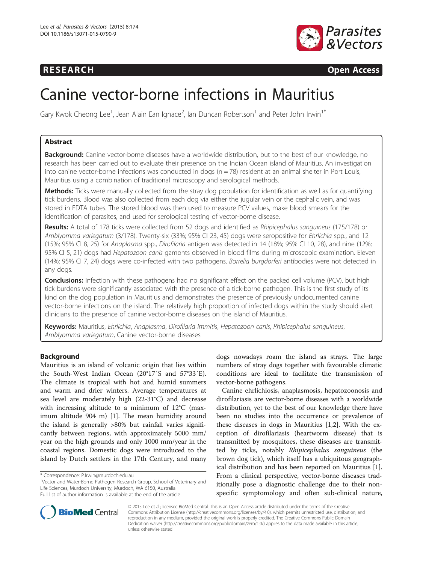## **RESEARCH RESEARCH CONSUMING ACCESS**



# Canine vector-borne infections in Mauritius

Gary Kwok Cheong Lee<sup>1</sup>, Jean Alain Ean Ignace<sup>2</sup>, Ian Duncan Robertson<sup>1</sup> and Peter John Irwin<sup>1\*</sup>

## Abstract

Background: Canine vector-borne diseases have a worldwide distribution, but to the best of our knowledge, no research has been carried out to evaluate their presence on the Indian Ocean island of Mauritius. An investigation into canine vector-borne infections was conducted in dogs ( $n = 78$ ) resident at an animal shelter in Port Louis, Mauritius using a combination of traditional microscopy and serological methods.

Methods: Ticks were manually collected from the stray dog population for identification as well as for quantifying tick burdens. Blood was also collected from each dog via either the jugular vein or the cephalic vein, and was stored in EDTA tubes. The stored blood was then used to measure PCV values, make blood smears for the identification of parasites, and used for serological testing of vector-borne disease.

Results: A total of 178 ticks were collected from 52 dogs and identified as Rhipicephalus sanguineus (175/178) or Amblyomma variegatum (3/178). Twenty-six (33%; 95% CI 23, 45) dogs were seropositive for Ehrlichia spp., and 12 (15%; 95% CI 8, 25) for Anaplasma spp., Dirofilaria antigen was detected in 14 (18%; 95% CI 10, 28), and nine (12%; 95% CI 5, 21) dogs had Hepatozoon canis gamonts observed in blood films during microscopic examination. Eleven (14%; 95% CI 7, 24) dogs were co-infected with two pathogens. Borrelia burgdorferi antibodies were not detected in any dogs.

**Conclusions:** Infection with these pathogens had no significant effect on the packed cell volume (PCV), but high tick burdens were significantly associated with the presence of a tick-borne pathogen. This is the first study of its kind on the dog population in Mauritius and demonstrates the presence of previously undocumented canine vector-borne infections on the island. The relatively high proportion of infected dogs within the study should alert clinicians to the presence of canine vector-borne diseases on the island of Mauritius.

Keywords: Mauritius, Ehrlichia, Anaplasma, Dirofilaria immitis, Hepatozoon canis, Rhipicephalus sanguineus, Amblyomma variegatum, Canine vector-borne diseases

## **Background**

Mauritius is an island of volcanic origin that lies within the South-West Indian Ocean (20°17′S and 57°33′E). The climate is tropical with hot and humid summers and warm and drier winters. Average temperatures at sea level are moderately high (22-31°C) and decrease with increasing altitude to a minimum of 12°C (maximum altitude 904 m) [\[1](#page-5-0)]. The mean humidity around the island is generally >80% but rainfall varies significantly between regions, with approximately 5000 mm/ year on the high grounds and only 1000 mm/year in the coastal regions. Domestic dogs were introduced to the island by Dutch settlers in the 17th Century, and many

<sup>1</sup>Vector and Water-Borne Pathogen Research Group, School of Veterinary and Life Sciences, Murdoch University, Murdoch, WA 6150, Australia Full list of author information is available at the end of the article

dogs nowadays roam the island as strays. The large numbers of stray dogs together with favourable climatic conditions are ideal to facilitate the transmission of vector-borne pathogens.

Canine ehrlichiosis, anaplasmosis, hepatozoonosis and dirofilariasis are vector-borne diseases with a worldwide distribution, yet to the best of our knowledge there have been no studies into the occurrence or prevalence of these diseases in dogs in Mauritius [[1,2\]](#page-5-0). With the exception of dirofilariasis (heartworm disease) that is transmitted by mosquitoes, these diseases are transmitted by ticks, notably Rhipicephalus sanguineus (the brown dog tick), which itself has a ubiquitous geographical distribution and has been reported on Mauritius [\[1](#page-5-0)]. From a clinical perspective, vector-borne diseases traditionally pose a diagnostic challenge due to their nonspecific symptomology and often sub-clinical nature,



© 2015 Lee et al.; licensee BioMed Central. This is an Open Access article distributed under the terms of the Creative Commons Attribution License [\(http://creativecommons.org/licenses/by/4.0\)](http://creativecommons.org/licenses/by/4.0), which permits unrestricted use, distribution, and reproduction in any medium, provided the original work is properly credited. The Creative Commons Public Domain Dedication waiver [\(http://creativecommons.org/publicdomain/zero/1.0/](http://creativecommons.org/publicdomain/zero/1.0/)) applies to the data made available in this article, unless otherwise stated.

<sup>\*</sup> Correspondence: [P.Irwin@murdoch.edu.au](mailto:P.Irwin@murdoch.edu.au) <sup>1</sup>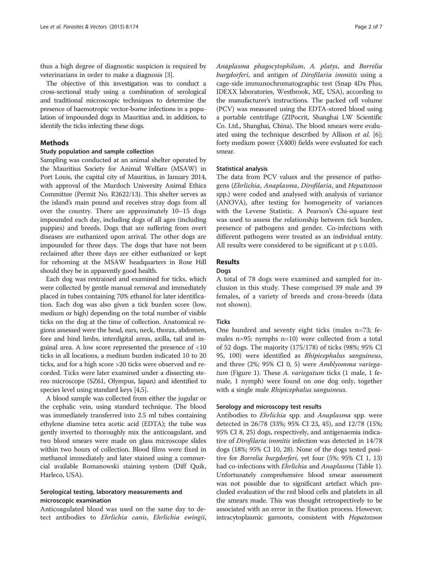thus a high degree of diagnostic suspicion is required by veterinarians in order to make a diagnosis [[3\]](#page-5-0).

The objective of this investigation was to conduct a cross-sectional study using a combination of serological and traditional microscopic techniques to determine the presence of haemotropic vector-borne infections in a population of impounded dogs in Mauritius and, in addition, to identify the ticks infecting these dogs.

## **Methods**

#### Study population and sample collection

Sampling was conducted at an animal shelter operated by the Mauritius Society for Animal Welfare (MSAW) in Port Louis, the capital city of Mauritius, in January 2014, with approval of the Murdoch University Animal Ethics Committee (Permit No. R2622/13). This shelter serves as the island's main pound and receives stray dogs from all over the country. There are approximately 10–15 dogs impounded each day, including dogs of all ages (including puppies) and breeds. Dogs that are suffering from overt diseases are euthanized upon arrival. The other dogs are impounded for three days. The dogs that have not been reclaimed after three days are either euthanized or kept for rehoming at the MSAW headquarters in Rose Hill should they be in apparently good health.

Each dog was restrained and examined for ticks, which were collected by gentle manual removal and immediately placed in tubes containing 70% ethanol for later identification. Each dog was also given a tick burden score (low, medium or high) depending on the total number of visible ticks on the dog at the time of collection. Anatomical regions assessed were the head, ears, neck, thorax, abdomen, fore and hind limbs, interdigital areas, axilla, tail and inguinal area. A low score represented the presence of <10 ticks in all locations, a medium burden indicated 10 to 20 ticks, and for a high score >20 ticks were observed and recorded. Ticks were later examined under a dissecting stereo microscope (SZ61, Olympus, Japan) and identified to species level using standard keys [[4,5](#page-5-0)].

A blood sample was collected from either the jugular or the cephalic vein, using standard technique. The blood was immediately transferred into 2.5 ml tubes containing ethylene diamine tetra acetic acid (EDTA); the tube was gently inverted to thoroughly mix the anticoagulant, and two blood smears were made on glass microscope slides within two hours of collection. Blood films were fixed in methanol immediately and later stained using a commercial available Romanowski staining system (Diff Quik, Harleco, USA).

## Serological testing, laboratory measurements and microscopic examination

Anticoagulated blood was used on the same day to detect antibodies to Ehrlichia canis, Ehrlichia ewingii, Anaplasma phagocytophilum, A. platys, and Borrelia burgdorferi, and antigen of Dirofilaria immitis using a cage-side immunochromatographic test (Snap 4Dx Plus, IDEXX laboratories, Westbrook, ME, USA), according to the manufacturer's instructions. The packed cell volume (PCV) was measured using the EDTA-stored blood using a portable centrifuge (ZIPocrit, Shanghai LW Scientific Co. Ltd., Shanghai, China). The blood smears were evalu-ated using the technique described by Allison et al. [[6](#page-5-0)]; forty medium power (X400) fields were evaluated for each smear.

### Statistical analysis

The data from PCV values and the presence of pathogens (Ehrlichia, Anaplasma, Dirofilaria, and Hepatozoon spp.) were coded and analysed with analysis of variance (ANOVA), after testing for homogeneity of variances with the Levene Statistic. A Pearson's Chi-square test was used to assess the relationship between tick burden, presence of pathogens and gender. Co-infections with different pathogens were treated as an individual entity. All results were considered to be significant at  $p \le 0.05$ .

## Results

#### Dogs

A total of 78 dogs were examined and sampled for inclusion in this study. These comprised 39 male and 39 females, of a variety of breeds and cross-breeds (data not shown).

#### **Ticks**

One hundred and seventy eight ticks (males n=73; females n=95; nymphs n=10) were collected from a total of 52 dogs. The majority (175/178) of ticks (98%; 95% CI 95, 100) were identified as Rhipicephalus sanguineus, and three (2%; 95% CI 0, 5) were Amblyomma variegatum (Figure [1](#page-2-0)). These A. variegatum ticks (1 male, 1 female, 1 nymph) were found on one dog only, together with a single male Rhipicephalus sanguineus.

#### Serology and microscopy test results

Antibodies to *Ehrlichia* spp. and Anaplasma spp. were detected in 26/78 (33%; 95% CI 23, 45), and 12/78 (15%; 95% CI 8, 25) dogs, respectively, and antigenaemia indicative of Dirofilaria immitis infection was detected in 14/78 dogs (18%; 95% CI 10, 28). None of the dogs tested positive for Borrelia burgdorferi, yet four (5%; 95% CI 1, 13) had co-infections with *Ehrlichia* and *Anaplasma* (Table [1](#page-2-0)). Unfortunately comprehensive blood smear assessment was not possible due to significant artefact which precluded evaluation of the red blood cells and platelets in all the smears made. This was thought retrospectively to be associated with an error in the fixation process. However, intracytoplasmic gamonts, consistent with Hepatozoon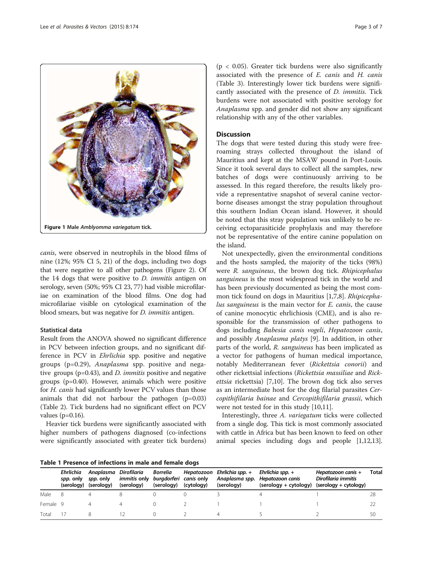<span id="page-2-0"></span>

canis, were observed in neutrophils in the blood films of nine (12%; 95% CI 5, 21) of the dogs, including two dogs that were negative to all other pathogens (Figure [2\)](#page-3-0). Of the  $14$  dogs that were positive to *D. immitis* antigen on serology, seven (50%; 95% CI 23, 77) had visible microfilariae on examination of the blood films. One dog had microfilariae visible on cytological examination of the blood smears, but was negative for D. immitis antigen.

## Statistical data

Result from the ANOVA showed no significant difference in PCV between infection groups, and no significant difference in PCV in Ehrlichia spp. positive and negative groups (p=0.29), Anaplasma spp. positive and negative groups (p=0.43), and *D. immitis* positive and negative groups (p=0.40). However, animals which were positive for H. canis had significantly lower PCV values than those animals that did not harbour the pathogen (p=0.03) (Table [2\)](#page-3-0). Tick burdens had no significant effect on PCV values ( $p=0.16$ ).

Heavier tick burdens were significantly associated with higher numbers of pathogens diagnosed (co-infections were significantly associated with greater tick burdens)

Table 1 Presence of infections in male and female dogs

 $(p < 0.05)$ . Greater tick burdens were also significantly associated with the presence of  $E$ . canis and  $H$ . canis (Table [3](#page-4-0)). Interestingly lower tick burdens were significantly associated with the presence of D. immitis. Tick burdens were not associated with positive serology for Anaplasma spp. and gender did not show any significant relationship with any of the other variables.

## **Discussion**

The dogs that were tested during this study were freeroaming strays collected throughout the island of Mauritius and kept at the MSAW pound in Port-Louis. Since it took several days to collect all the samples, new batches of dogs were continuously arriving to be assessed. In this regard therefore, the results likely provide a representative snapshot of several canine vectorborne diseases amongst the stray population throughout this southern Indian Ocean island. However, it should be noted that this stray population was unlikely to be receiving ectoparasiticide prophylaxis and may therefore not be representative of the entire canine population on the island.

Not unexpectedly, given the environmental conditions and the hosts sampled, the majority of the ticks (98%) were R. sanguineus, the brown dog tick. Rhipicephalus sanguineus is the most widespread tick in the world and has been previously documented as being the most common tick found on dogs in Mauritius [[1,7,8\]](#page-5-0). Rhipicephalus sanguineus is the main vector for  $E$ . canis, the cause of canine monocytic ehrlichiosis (CME), and is also responsible for the transmission of other pathogens to dogs including Babesia canis vogeli, Hepatozoon canis, and possibly Anaplasma platys [\[9](#page-5-0)]. In addition, in other parts of the world, R. sanguineus has been implicated as a vector for pathogens of human medical importance, notably Mediterranean fever (Rickettsia conorii) and other rickettsial infections (Rickettsia massiliae and Rickettsia rickettsia) [\[7](#page-5-0),[10](#page-5-0)]. The brown dog tick also serves as an intermediate host for the dog filarial parasites Cercopithifilaria bainae and Cercopithifilaria grassii, which were not tested for in this study [[10,11\]](#page-5-0).

Interestingly, three A. variegatum ticks were collected from a single dog. This tick is most commonly associated with cattle in Africa but has been known to feed on other animal species including dogs and people [\[1,12,13](#page-5-0)].

|          | <b>Ehrlichia</b><br>spp. only | Anaplasma Dirofilaria<br>spp. only<br>(serology) (serology) | <i>immitis</i> only<br>(serology) | Borrelia<br>burgdorferi canis only<br>(serology) (cytology) |  | Hepatozoon Ehrlichia spp. +<br>(serology) | Ehrlichia spp. +<br>Anaplasma spp. Hepatozoon canis<br>(serology + cytology) | Hepatozoon canis +<br>Dirofilaria immitis<br>(serology + cytology) | <b>Total</b> |
|----------|-------------------------------|-------------------------------------------------------------|-----------------------------------|-------------------------------------------------------------|--|-------------------------------------------|------------------------------------------------------------------------------|--------------------------------------------------------------------|--------------|
| Male     |                               |                                                             |                                   |                                                             |  |                                           |                                                                              |                                                                    |              |
| Female 9 |                               |                                                             |                                   |                                                             |  |                                           |                                                                              |                                                                    |              |
| Total    |                               |                                                             |                                   |                                                             |  |                                           |                                                                              |                                                                    | 50           |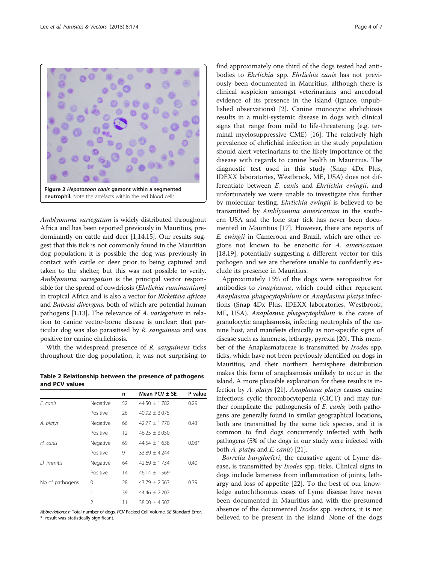<span id="page-3-0"></span>

Amblyomma variegatum is widely distributed throughout Africa and has been reported previously in Mauritius, predominantly on cattle and deer [\[1,14,15](#page-5-0)]. Our results suggest that this tick is not commonly found in the Mauritian dog population; it is possible the dog was previously in contact with cattle or deer prior to being captured and taken to the shelter, but this was not possible to verify. Amblyomma variegatum is the principal vector responsible for the spread of cowdriosis (Ehrlichia ruminantium) in tropical Africa and is also a vector for Rickettsia africae and Babesia divergens, both of which are potential human pathogens [[1,13](#page-5-0)]. The relevance of A. variegatum in relation to canine vector-borne disease is unclear: that particular dog was also parasitised by R. sanguineus and was positive for canine ehrlichiosis.

With the widespread presence of R. sanguineus ticks throughout the dog population, it was not surprising to

Table 2 Relationship between the presence of pathogens and PCV values

|                 |          | n  | Mean PCV $\pm$ SE | P value |
|-----------------|----------|----|-------------------|---------|
| F. canis        | Negative | 52 | $44.50 + 1.782$   | 0.29    |
|                 | Positive | 26 | $40.92 + 3.075$   |         |
| A. platys       | Negative | 66 | $42.77 + 1.770$   | 0.43    |
|                 | Positive | 12 | $46.25 + 3.050$   |         |
| H. canis        | Negative | 69 | $44.54 + 1.638$   | $0.03*$ |
|                 | Positive | 9  | $33.89 + 4.244$   |         |
| D. immitis      | Negative | 64 | $42.69 + 1.734$   | 0.40    |
|                 | Positive | 14 | $46.14 \pm 1.569$ |         |
| No of pathogens | $\Omega$ | 28 | $43.79 \pm 2.563$ | 0.39    |
|                 | 1        | 39 | $44.46 + 2.207$   |         |
|                 | 2        | 11 | $38.00 + 4.507$   |         |

Abbreviations: n Total number of dogs, PCV Packed Cell Volume, SE Standard Error. \*- result was statistically significant.

find approximately one third of the dogs tested had antibodies to Ehrlichia spp. Ehrlichia canis has not previously been documented in Mauritius, although there is clinical suspicion amongst veterinarians and anecdotal evidence of its presence in the island (Ignace, unpublished observations) [\[2\]](#page-5-0). Canine monocytic ehrlichiosis results in a multi-systemic disease in dogs with clinical signs that range from mild to life-threatening (e.g. terminal myelosuppressive CME) [[16\]](#page-5-0). The relatively high prevalence of ehrlichial infection in the study population should alert veterinarians to the likely importance of the disease with regards to canine health in Mauritius. The diagnostic test used in this study (Snap 4Dx Plus, IDEXX laboratories, Westbrook, ME, USA) does not differentiate between E. canis and Ehrlichia ewingii, and unfortunately we were unable to investigate this further by molecular testing. Ehrlichia ewingii is believed to be transmitted by Amblyomma americanum in the southern USA and the lone star tick has never been documented in Mauritius [\[17\]](#page-5-0). However, there are reports of E. ewingii in Cameroon and Brazil, which are other regions not known to be enzootic for A. americanum [[18,19\]](#page-5-0), potentially suggesting a different vector for this pathogen and we are therefore unable to confidently exclude its presence in Mauritius.

Approximately 15% of the dogs were seropositive for antibodies to Anaplasma, which could either represent Anaplasma phagocytophilum or Anaplasma platys infections (Snap 4Dx Plus, IDEXX laboratories, Westbrook, ME, USA). Anaplasma phagocytophilum is the cause of granulocytic anaplasmosis, infecting neutrophils of the canine host, and manifests clinically as non-specific signs of disease such as lameness, lethargy, pyrexia [\[20\]](#page-5-0). This member of the Anaplasmataceae is transmitted by Ixodes spp. ticks, which have not been previously identified on dogs in Mauritius, and their northern hemisphere distribution makes this form of anaplasmosis unlikely to occur in the island. A more plausible explanation for these results is infection by A. platys [\[21](#page-5-0)]. Anaplasma platys causes canine infectious cyclic thrombocytopenia (CICT) and may further complicate the pathogenesis of E. canis; both pathogens are generally found in similar geographical locations, both are transmitted by the same tick species, and it is common to find dogs concurrently infected with both pathogens (5% of the dogs in our study were infected with both A. platys and E. canis) [\[21\]](#page-5-0).

Borrelia burgdorferi, the causative agent of Lyme disease, is transmitted by *Ixodes* spp. ticks. Clinical signs in dogs include lameness from inflammation of joints, lethargy and loss of appetite [\[22](#page-6-0)]. To the best of our knowledge autochthonous cases of Lyme disease have never been documented in Mauritius and with the presumed absence of the documented *Ixodes* spp. vectors, it is not believed to be present in the island. None of the dogs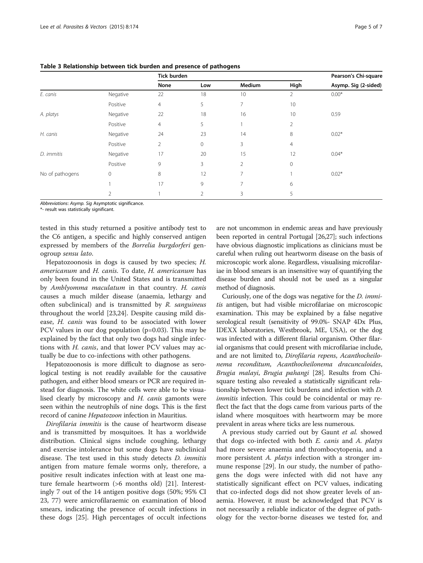|                 |                     | <b>Tick burden</b> | Pearson's Chi-square |                |                |                      |
|-----------------|---------------------|--------------------|----------------------|----------------|----------------|----------------------|
|                 |                     | None               | Low                  | Medium         | High           | Asymp. Sig (2-sided) |
| E. canis        | Negative            | 22                 | 18                   | 10             | 2              | $0.00*$              |
|                 | Positive            | $\overline{4}$     | 5                    | 7              | 10             |                      |
| A. platys       | Negative            | 22                 | 18                   | 16             | 10             | 0.59                 |
|                 | Positive            | 4                  | 5                    |                | 2              |                      |
| H. canis        | Negative            | 24                 | 23                   | 14             | 8              | $0.02*$              |
|                 | Positive            | $\overline{2}$     | $\mathbf{0}$         | 3              | $\overline{4}$ |                      |
| D. immitis      | Negative            | 17                 | 20                   | 15             | 12             | $0.04*$              |
|                 | Positive            | 9                  | 3                    | $\overline{2}$ | $\Omega$       |                      |
| No of pathogens | $\mathsf{O}\xspace$ | 8                  | 12                   | 7              |                | $0.02*$              |
|                 |                     | 17                 | 9                    | 7              | 6              |                      |
|                 | 2                   |                    | $\overline{2}$       | 3              | 5              |                      |

<span id="page-4-0"></span>Table 3 Relationship between tick burden and presence of pathogens

Abbreviations: Asymp. Sig Asymptotic significance.

\*- result was statistically significant.

tested in this study returned a positive antibody test to the C6 antigen, a specific and highly conserved antigen expressed by members of the Borrelia burgdorferi genogroup sensu lato.

Hepatozoonosis in dogs is caused by two species; H. americanum and H. canis. To date, H. americanum has only been found in the United States and is transmitted by Amblyomma maculatum in that country. H. canis causes a much milder disease (anaemia, lethargy and often subclinical) and is transmitted by R. sanguineus throughout the world [[23,24](#page-6-0)]. Despite causing mild disease, H. canis was found to be associated with lower PCV values in our dog population (p=0.03). This may be explained by the fact that only two dogs had single infections with H. canis, and that lower PCV values may actually be due to co-infections with other pathogens.

Hepatozoonosis is more difficult to diagnose as serological testing is not readily available for the causative pathogen, and either blood smears or PCR are required instead for diagnosis. The white cells were able to be visualised clearly by microscopy and H. canis gamonts were seen within the neutrophils of nine dogs. This is the first record of canine *Hepatozoon* infection in Mauritius.

Dirofilaria immitis is the cause of heartworm disease and is transmitted by mosquitoes. It has a worldwide distribution. Clinical signs include coughing, lethargy and exercise intolerance but some dogs have subclinical disease. The test used in this study detects D. immitis antigen from mature female worms only, therefore, a positive result indicates infection with at least one mature female heartworm (>6 months old) [\[21\]](#page-5-0). Interestingly 7 out of the 14 antigen positive dogs (50%; 95% CI 23, 77) were amicrofilaraemic on examination of blood smears, indicating the presence of occult infections in these dogs [[25\]](#page-6-0). High percentages of occult infections are not uncommon in endemic areas and have previously been reported in central Portugal [[26,27\]](#page-6-0); such infections have obvious diagnostic implications as clinicians must be careful when ruling out heartworm disease on the basis of microscopic work alone. Regardless, visualising microfilariae in blood smears is an insensitive way of quantifying the disease burden and should not be used as a singular method of diagnosis.

Curiously, one of the dogs was negative for the D. immitis antigen, but had visible microfilariae on microscopic examination. This may be explained by a false negative serological result (sensitivity of 99.0%- SNAP 4Dx Plus, IDEXX laboratories, Westbrook, ME, USA), or the dog was infected with a different filarial organism. Other filarial organisms that could present with microfilariae include, and are not limited to, Dirofilaria repens, Acanthocheilonema reconditum, Acanthocheilonema dracunculoides, Brugia malayi, Brugia pahangi [\[28\]](#page-6-0). Results from Chisquare testing also revealed a statistically significant relationship between lower tick burdens and infection with D. immitis infection. This could be coincidental or may reflect the fact that the dogs came from various parts of the island where mosquitoes with heartworm may be more prevalent in areas where ticks are less numerous.

A previous study carried out by Gaunt et al. showed that dogs co-infected with both  $E$ . canis and  $A$ . platys had more severe anaemia and thrombocytopenia, and a more persistent A. platys infection with a stronger immune response [[29](#page-6-0)]. In our study, the number of pathogens the dogs were infected with did not have any statistically significant effect on PCV values, indicating that co-infected dogs did not show greater levels of anaemia. However, it must be acknowledged that PCV is not necessarily a reliable indicator of the degree of pathology for the vector-borne diseases we tested for, and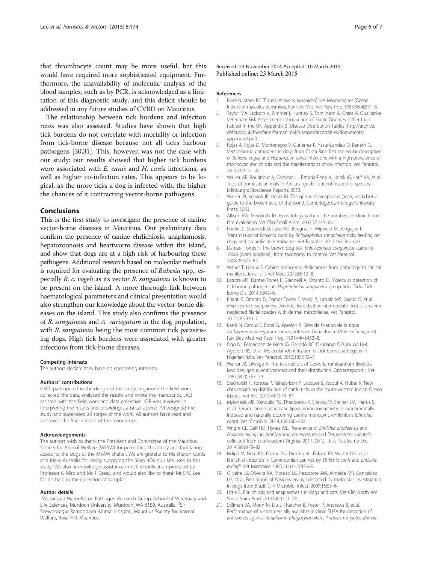<span id="page-5-0"></span>that thrombocyte count may be more useful, but this would have required more sophisticated equipment. Furthermore, the unavailability of molecular analysis of the blood samples, such as by PCR, is acknowledged as a limitation of this diagnostic study, and this deficit should be addressed in any future studies of CVBD on Mauritius.

The relationship between tick burdens and infection rates was also assessed. Studies have shown that high tick burdens do not correlate with mortality or infection from tick-borne disease because not all ticks harbour pathogens [[30,31\]](#page-6-0). This, however, was not the case with our study: our results showed that higher tick burdens were associated with *E. canis* and *H. canis* infections, as well as higher co-infection rates. This appears to be logical, as the more ticks a dog is infected with, the higher the chances of it contracting vector-borne pathogens.

## Conclusions

This is the first study to investigate the presence of canine vector-borne diseases in Mauritius. Our preliminary data confirm the presence of canine ehrlichiosis, anaplasmosis, hepatozoonosis and heartworm disease within the island, and show that dogs are at a high risk of harbouring these pathogens. Additional research based on molecular methods is required for evaluating the presence of Babesia spp., especially B. c. vogeli as its vector R. sanguineus is known to be present on the island. A more thorough link between haematological parameters and clinical presentation would also strengthen our knowledge about the vector-borne diseases on the island. This study also confirms the presence of R. sanguineus and A. variegatum in the dog population, with R. sanguineus being the most common tick parasitising dogs. High tick burdens were associated with greater infections from tick-borne diseases.

#### Competing interests

The authors declare they have no competing interests.

#### Authors' contributions

GKCL participated in the design of the study, organized the field work, collected the data, analysed the results and wrote the manuscript. JAEI assisted with the field work and data collection. IDR was involved in interpreting the results and providing statistical advice. PJI designed the study and supervised all stages of the work. All authors have read and approved the final version of the manuscript.

#### Acknowledgements

The authors wish to thank the President and Committee of the Mauritius Society for Animal Welfare (MSAW) for permitting this study and facilitating access to the dogs at the MSAW shelter. We are grateful to Ms Sharon Curtis and Idexx Australia for kindly supplying the Snap 4Dx plus kits used in this study. We also acknowledge assistance in tick identification provided by Professor G Miro and Ms T Greay, and would also like to thank Mr SKC Lee for his help in the collection of samples.

#### Author details

<sup>1</sup>Vector and Water-Borne Pathogen Research Group, School of Veterinary and Life Sciences, Murdoch University, Murdoch, WA 6150, Australia. <sup>2</sup>Sir Seewoosagur Ramgoolam Animal Hospital, Mauritius Society for Animal Welfare, Rose Hill, Mauritius.

Received: 23 November 2014 Accepted: 10 March 2015 Published online: 23 March 2015

#### References

- 1. Barré N, Morel PC. Tiques (Acariens, Ixodoidea) des Mascareignes (Océan Indien) et maladies transmises. Rev Elev Med Vet Pays Trop. 1983;36(4):371–8.
- 2. Taylor MA, Jackson V, Zimmer I, Huntley S, Tomlinson A, Grant A: Qualitative Veterinary Risk Assessment: Introduction of Exotic Diseases (other than Rabies) in the UK. Appendix 5: Disease Distribution Tables [[http://archive.](http://archive.defra.gov.uk/foodfarm/farmanimal/diseases/atoz/rabies/documents/appendix5.pdf) [defra.gov.uk/foodfarm/farmanimal/diseases/atoz/rabies/documents/](http://archive.defra.gov.uk/foodfarm/farmanimal/diseases/atoz/rabies/documents/appendix5.pdf) [appendix5.pdf](http://archive.defra.gov.uk/foodfarm/farmanimal/diseases/atoz/rabies/documents/appendix5.pdf)]
- 3. Rojas A, Rojas D, Montenegro V, Gutierrez R, Yasur-Landau D, Baneth G. Vector-borne pathogens in dogs from Costa Rica: first molecular description of Babesia vogeli and Hepatozoon canis infections with a high prevalence of monocytic ehrlichiosis and the manifestations of co-infection. Vet Parasitol. 2014;199:121–8.
- 4. Walker AR, Bouattour A, Camicas JL, Estrada-Pena A, Horak IG, Latif AA, et al. Ticks of domestic animals in Africa: a guide to identification of species. Edinburgh: Bioscience Reports; 2013.
- 5. Walker JB, Keirans JE, Horak IG. The genus rhipicephalus (acari, ixodidae): a guide to the brown ticks of the world. Cambridge: Cambridge University Press; 2000.
- 6. Allison RW, Meinkoth JH. Hematology without the numbers: in-clinic blood film evaluation. Vet Clin Small Anim. 2007;37:245–66.
- 7. Fourie JJ, Stanneck D, Luus HG, Beugnet F, Wijnveld M, Jongejan F. Transmission of Ehrlichia canis by Rhipicephalus sanguineus ticks feeding on dogs and on artificial membranes. Vet Parasitol. 2013;197:595–603.
- 8. Dantas- Torres F. The brown dog tick, Rhipicephalus sanguineus (Latreille 1806) (Acari: Ixodidae): from taxonomy to control. Vet Parasitol. 2008;25:173–85.
- 9. Waner T, Harrus S. Canine monocytic ehrlichiosis- from pathology to clinical manifestations. Isr J Vet Med. 2013;68:12–8.
- 10. Latrofa MS, Dantas-Torres F, Giannelli A, Otranto D. Molecular detection of tick-borne pathogens in Rhipicephalus sanguineus group ticks. Ticks Tick Borne Dis. 2014;5:943–6.
- 11. Brianti E, Otranto D, Dantas-Torres F, Weigl S, Latrofa MS, Gaglio G, et al. Rhipicephalus sanguineus (Ixodida, Ixodidae) as intermediate host of a canine neglected filarial species with dermal microfilariae. Vet Parasitol. 2012;183:330–7.
- 12. Barré N, Camus E, Borel G, Aprelon R. Sites de fixation de la tique Amblyomma variegatum sur ses hôtes en Guadeloupe (Antilles françaises). Rev Elev Med Vet Pays Trop. 1991;44(4):453–8.
- 13. Ogo NI, Fernandez de Mera IG, Galindo RC, Okubanjo OO, Inuwa HM, Agbede RIS, et al. Molecular identification of tick-borne pathogens in Nigerian ticks. Vet Parasitol. 2012;187:572–7.
- 14. Walker JB, Olwage A. The tick vectors of Cowdria ruminantium (Ixodida, Ixodidae, genus Amblyomma) and their distribution. Onderstepoort J Vet. 1987;54(3):353–79.
- 15. Stachurski F, Tortosa P, Rahajarison P, Jacquet S, Yssouf A, Huber K. New data regarding distribution of cattle ticks in the south-western Indian Ocean islands. Vet Res. 2013;44(1):79–87.
- 16. Mylonakis ME, Xenoulis PG, Theodorou K, Siarkou VI, Steiner JM, Harrus S, et al. Serum canine pancreatic lipase immunoreactivity in experimentally induced and naturally occurring canine monocytic ehrlichiosis (Ehrlichia canis). Vet Microbiol. 2014;169:198–202.
- 17. Wright CL, Gaff HD, Hynes WL. Prevalence of Ehrlichia chaffeensis and Ehrlichia ewingii in Amblyomma americanum and Dermacentor variabilis collected from southeastern Virginia, 2011–2012. Ticks Tick Borne Dis. 2014;5(6):978–82.
- 18. Ndip LM, Ndip RN, Esemu SN, Dickmu VL, Fokam EB, Walker DH, et al. Ehrlichial infection in Cameroonian canines by Ehrlichia canis and Ehrlichia ewingii. Vet Microbiol. 2005;111(1–2):59–66.
- 19. Oliveira LS, Oliveira KA, Mourao LC, Pescatore AM, Almeida MR, Conceicao LG, et al. First report of Ehrlichia ewingii detected by molecular investigation in dogs from Brazil. Clin Microbiol Infect. 2009;15:55–6.
- 20. Little S. Ehrlichiosis and anaplasmosis in dogs and cats. Vet Clin North Am Small Anim Pract. 2010;40:1121–40.
- 21. Stillman BA, Monn M, Liu J, Thatcher B, Foster P, Andrews B, et al. Performance of a commercially available in-clinic ELISA for detection of antibodies against Anaplasma phagocytophilum, Anaplasma platys, Borrelia